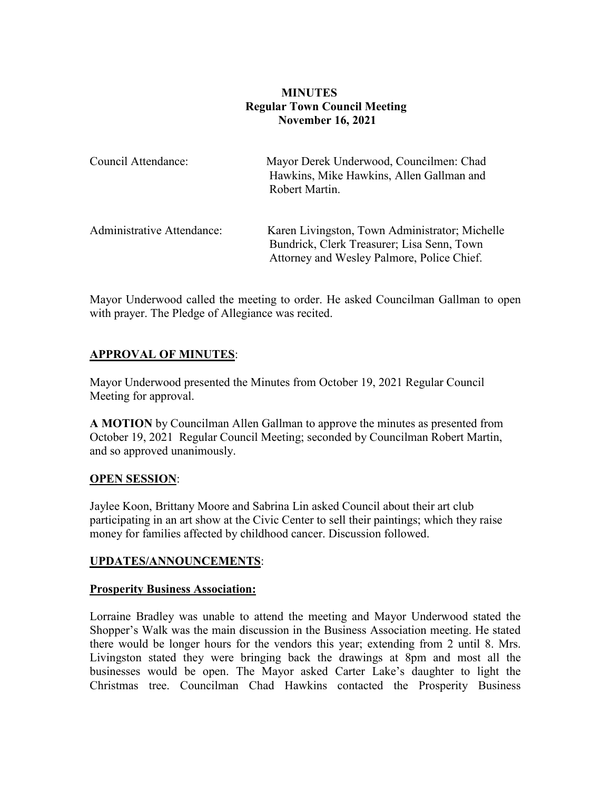# **MINUTES Regular Town Council Meeting November 16, 2021**

| Council Attendance:               | Mayor Derek Underwood, Councilmen: Chad<br>Hawkins, Mike Hawkins, Allen Gallman and<br>Robert Martin.                                      |
|-----------------------------------|--------------------------------------------------------------------------------------------------------------------------------------------|
| <b>Administrative Attendance:</b> | Karen Livingston, Town Administrator; Michelle<br>Bundrick, Clerk Treasurer; Lisa Senn, Town<br>Attorney and Wesley Palmore, Police Chief. |

Mayor Underwood called the meeting to order. He asked Councilman Gallman to open with prayer. The Pledge of Allegiance was recited.

# **APPROVAL OF MINUTES**:

Mayor Underwood presented the Minutes from October 19, 2021 Regular Council Meeting for approval.

**A MOTION** by Councilman Allen Gallman to approve the minutes as presented from October 19, 2021 Regular Council Meeting; seconded by Councilman Robert Martin, and so approved unanimously.

#### **OPEN SESSION**:

Jaylee Koon, Brittany Moore and Sabrina Lin asked Council about their art club participating in an art show at the Civic Center to sell their paintings; which they raise money for families affected by childhood cancer. Discussion followed.

#### **UPDATES/ANNOUNCEMENTS**:

#### **Prosperity Business Association:**

Lorraine Bradley was unable to attend the meeting and Mayor Underwood stated the Shopper's Walk was the main discussion in the Business Association meeting. He stated there would be longer hours for the vendors this year; extending from 2 until 8. Mrs. Livingston stated they were bringing back the drawings at 8pm and most all the businesses would be open. The Mayor asked Carter Lake's daughter to light the Christmas tree. Councilman Chad Hawkins contacted the Prosperity Business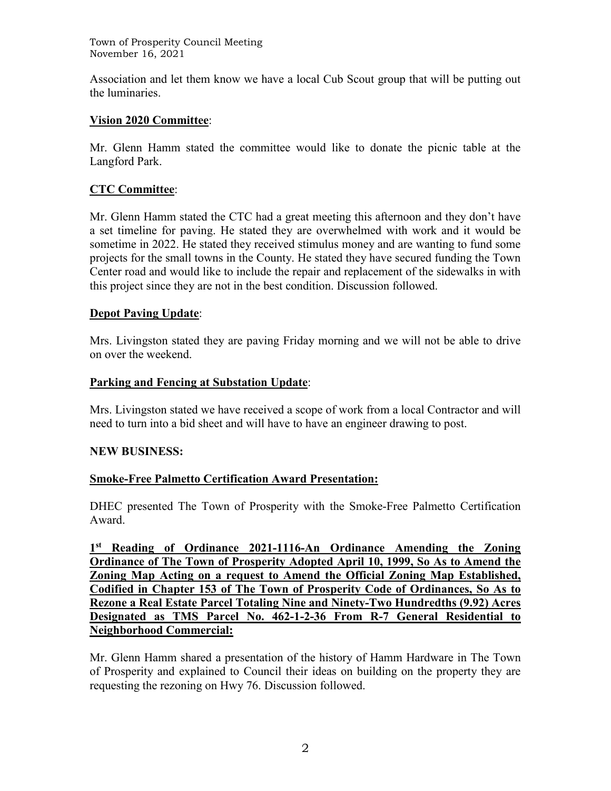Town of Prosperity Council Meeting November 16, 2021

Association and let them know we have a local Cub Scout group that will be putting out the luminaries.

### **Vision 2020 Committee**:

Mr. Glenn Hamm stated the committee would like to donate the picnic table at the Langford Park.

### **CTC Committee**:

Mr. Glenn Hamm stated the CTC had a great meeting this afternoon and they don't have a set timeline for paving. He stated they are overwhelmed with work and it would be sometime in 2022. He stated they received stimulus money and are wanting to fund some projects for the small towns in the County. He stated they have secured funding the Town Center road and would like to include the repair and replacement of the sidewalks in with this project since they are not in the best condition. Discussion followed.

### **Depot Paving Update**:

Mrs. Livingston stated they are paving Friday morning and we will not be able to drive on over the weekend.

### **Parking and Fencing at Substation Update**:

Mrs. Livingston stated we have received a scope of work from a local Contractor and will need to turn into a bid sheet and will have to have an engineer drawing to post.

#### **NEW BUSINESS:**

#### **Smoke-Free Palmetto Certification Award Presentation:**

DHEC presented The Town of Prosperity with the Smoke-Free Palmetto Certification Award.

**1st Reading of Ordinance 2021-1116-An Ordinance Amending the Zoning Ordinance of The Town of Prosperity Adopted April 10, 1999, So As to Amend the Zoning Map Acting on a request to Amend the Official Zoning Map Established, Codified in Chapter 153 of The Town of Prosperity Code of Ordinances, So As to Rezone a Real Estate Parcel Totaling Nine and Ninety-Two Hundredths (9.92) Acres Designated as TMS Parcel No. 462-1-2-36 From R-7 General Residential to Neighborhood Commercial:**

Mr. Glenn Hamm shared a presentation of the history of Hamm Hardware in The Town of Prosperity and explained to Council their ideas on building on the property they are requesting the rezoning on Hwy 76. Discussion followed.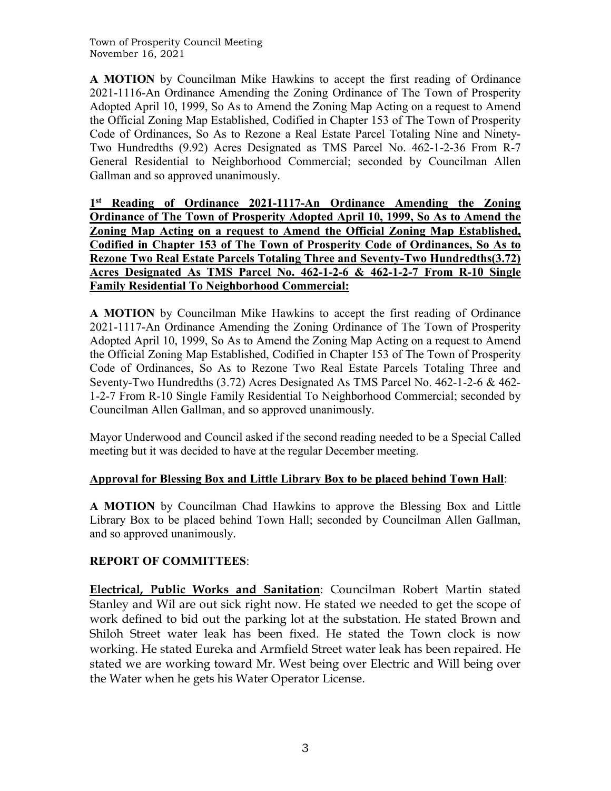Town of Prosperity Council Meeting November 16, 2021

**A MOTION** by Councilman Mike Hawkins to accept the first reading of Ordinance 2021-1116-An Ordinance Amending the Zoning Ordinance of The Town of Prosperity Adopted April 10, 1999, So As to Amend the Zoning Map Acting on a request to Amend the Official Zoning Map Established, Codified in Chapter 153 of The Town of Prosperity Code of Ordinances, So As to Rezone a Real Estate Parcel Totaling Nine and Ninety-Two Hundredths (9.92) Acres Designated as TMS Parcel No. 462-1-2-36 From R-7 General Residential to Neighborhood Commercial; seconded by Councilman Allen Gallman and so approved unanimously.

**1st Reading of Ordinance 2021-1117-An Ordinance Amending the Zoning Ordinance of The Town of Prosperity Adopted April 10, 1999, So As to Amend the Zoning Map Acting on a request to Amend the Official Zoning Map Established, Codified in Chapter 153 of The Town of Prosperity Code of Ordinances, So As to Rezone Two Real Estate Parcels Totaling Three and Seventy-Two Hundredths(3.72) Acres Designated As TMS Parcel No. 462-1-2-6 & 462-1-2-7 From R-10 Single Family Residential To Neighborhood Commercial:**

**A MOTION** by Councilman Mike Hawkins to accept the first reading of Ordinance 2021-1117-An Ordinance Amending the Zoning Ordinance of The Town of Prosperity Adopted April 10, 1999, So As to Amend the Zoning Map Acting on a request to Amend the Official Zoning Map Established, Codified in Chapter 153 of The Town of Prosperity Code of Ordinances, So As to Rezone Two Real Estate Parcels Totaling Three and Seventy-Two Hundredths (3.72) Acres Designated As TMS Parcel No. 462-1-2-6 & 462- 1-2-7 From R-10 Single Family Residential To Neighborhood Commercial; seconded by Councilman Allen Gallman, and so approved unanimously.

Mayor Underwood and Council asked if the second reading needed to be a Special Called meeting but it was decided to have at the regular December meeting.

# **Approval for Blessing Box and Little Library Box to be placed behind Town Hall**:

**A MOTION** by Councilman Chad Hawkins to approve the Blessing Box and Little Library Box to be placed behind Town Hall; seconded by Councilman Allen Gallman, and so approved unanimously.

# **REPORT OF COMMITTEES**:

**Electrical, Public Works and Sanitation**: Councilman Robert Martin stated Stanley and Wil are out sick right now. He stated we needed to get the scope of work defined to bid out the parking lot at the substation. He stated Brown and Shiloh Street water leak has been fixed. He stated the Town clock is now working. He stated Eureka and Armfield Street water leak has been repaired. He stated we are working toward Mr. West being over Electric and Will being over the Water when he gets his Water Operator License.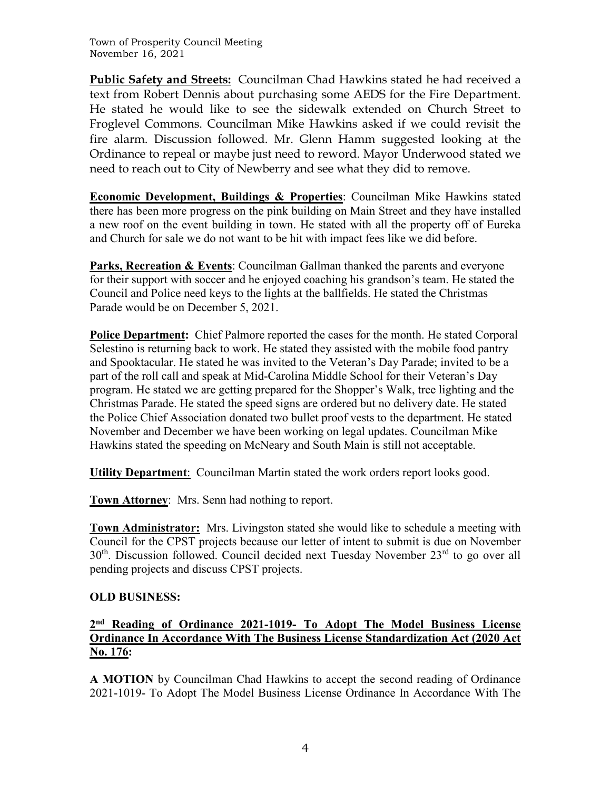**Public Safety and Streets:** Councilman Chad Hawkins stated he had received a text from Robert Dennis about purchasing some AEDS for the Fire Department. He stated he would like to see the sidewalk extended on Church Street to Froglevel Commons. Councilman Mike Hawkins asked if we could revisit the fire alarm. Discussion followed. Mr. Glenn Hamm suggested looking at the Ordinance to repeal or maybe just need to reword. Mayor Underwood stated we need to reach out to City of Newberry and see what they did to remove.

**Economic Development, Buildings & Properties**: Councilman Mike Hawkins stated there has been more progress on the pink building on Main Street and they have installed a new roof on the event building in town. He stated with all the property off of Eureka and Church for sale we do not want to be hit with impact fees like we did before.

**Parks, Recreation & Events**: Councilman Gallman thanked the parents and everyone for their support with soccer and he enjoyed coaching his grandson's team. He stated the Council and Police need keys to the lights at the ballfields. He stated the Christmas Parade would be on December 5, 2021.

**Police Department:** Chief Palmore reported the cases for the month. He stated Corporal Selestino is returning back to work. He stated they assisted with the mobile food pantry and Spooktacular. He stated he was invited to the Veteran's Day Parade; invited to be a part of the roll call and speak at Mid-Carolina Middle School for their Veteran's Day program. He stated we are getting prepared for the Shopper's Walk, tree lighting and the Christmas Parade. He stated the speed signs are ordered but no delivery date. He stated the Police Chief Association donated two bullet proof vests to the department. He stated November and December we have been working on legal updates. Councilman Mike Hawkins stated the speeding on McNeary and South Main is still not acceptable.

**Utility Department**: Councilman Martin stated the work orders report looks good.

**Town Attorney**: Mrs. Senn had nothing to report.

**Town Administrator:** Mrs. Livingston stated she would like to schedule a meeting with Council for the CPST projects because our letter of intent to submit is due on November  $30<sup>th</sup>$ . Discussion followed. Council decided next Tuesday November  $23<sup>rd</sup>$  to go over all pending projects and discuss CPST projects.

# **OLD BUSINESS:**

# **2nd Reading of Ordinance 2021-1019- To Adopt The Model Business License Ordinance In Accordance With The Business License Standardization Act (2020 Act No. 176:**

**A MOTION** by Councilman Chad Hawkins to accept the second reading of Ordinance 2021-1019- To Adopt The Model Business License Ordinance In Accordance With The